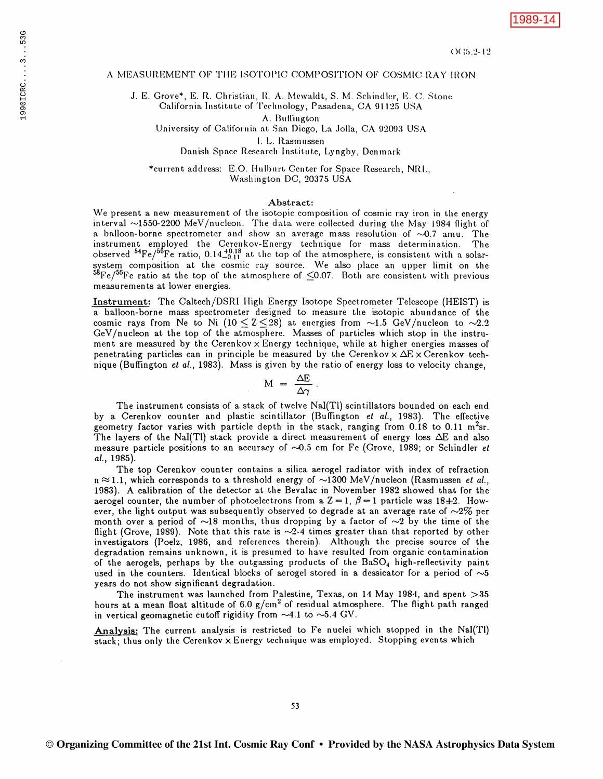## A MEASUREMENT OF THE ISOTOPIC COMPOSITION OF COSMIC RAY IRON

J. E. Grove\*, E. R. Christian, R. A. Mewaldt, S. M. Schindler, E. C. Stone California Institute of Technology, Pasadena, CA 91125 USA

A. Buffington

University of California at San Diego, La Jolla, CA 92093 USA

I. L. Rasmussen

Danish Space Research Institute, Lyngby, Denmark

\*current address: E.O. Hulburt Center for Space Research, NRL, Washington DC, 20375 USA

## Abstract:

We present a new measurement of the isotopic composition of cosmic ray iron in the energy interval ~1550-2200 MeV/nucleon. The data were collected during the May 1984 flight of a balloon-borne spectrometer and show an average mass resolution of  $\sim 0.7$  amu. The instrument employed the Cerenkov-Energy technique for mass determination. The observed  ${}^{54}Fe/{}^{56}Fe$  ratio, 0.14 ${}^{+0.18}_{-0.11}$  at the top of the atmosphere, is consistent with a solar-<br>system composition at the cosmic ray source. We also place an upper limit on the<br> ${}^{58}Fe/{}^{56}Fe$  ratio at the measurements at lower energies.

Instrument: The Caltech/DSRI High Energy Isotope Spectrometer Telescope (HEIST) is a balloon-borne mass spectrometer designed to measure the isotopic abundance of the cosmic rays from Ne to Ni (10  $\leq$  Z $\leq$ 28) at energies from ~1.5 GeV/nucleon to ~2.2 GeV/nucleon at the top of the atmosphere. Masses of particles which stop in the instrument are measured by the Cerenkov  $\times$  Energy technique, while at higher energies masses of penetrating particles can in principle be measured by the Cerenkov  $\times$   $\Delta E \times$  Cerenkov technique (Buffington *et al.*, 1983). Mass is given by the ratio of energy loss to velocity change,

$$
M = \frac{\Delta E}{\Delta \gamma}.
$$

The instrument consists of a stack of twelve NaI(Tl) scintillators bounded on each end by a Cerenkov counter and plastic scintillator (Buffington et al., 1983). The effective geometry factor varies with particle depth in the stack, ranging from 0.18 to 0.11 m<sup>2</sup>sr. The layers of the NaI(Tl) stack provide a direct measurement of energy loss  $\Delta E$  and also measure particle positions to an accuracy of  $\sim 0.5$  cm for Fe (Grove, 1989; or Schindler et al., 1985).

The top Cerenkov counter contains a silica aerogel radiator with index of refraction  $n \approx 1.1$ , which corresponds to a threshold energy of  $\sim$ 1300 MeV/nucleon (Rasmussen *et al.*, 1983). A calibration of the detector at the Bevalac in November 1982 showed that for the aerogel counter, the number of photoelectrons from a  $Z = 1$ ,  $\beta = 1$  particle was  $18 \pm 2$ . However, the light output was subsequently observed to degrade at an average rate of  $\sim 2\%$  per month over a period of  $\sim$ 18 months, thus dropping by a factor of  $\sim$ 2 by the time of the flight (Grove, 1989). Note that this rate is  $\sim$ 2-4 times greater than that reported by other investigators (Poelz, 1986, and references therein). Although the precise source of the degradation remains unknown, it is presumed to have resulted from organic contamination of the aerogels, perhaps by the outgassing products of the BaSO<sub>4</sub> high-reflectivity paint used in the counters. Identical blocks of aerogel stored in a dessicator for a period of  $\sim 5$ years do not show significant degradation.

The instrument was launched from Palestine, Texas, on 14 May 1984, and spent > 35 hours at a mean float altitude of 6.0  $g/cm^2$  of residual atmosphere. The flight path ranged in vertical geomagnetic cutoff rigidity from  $\sim4.1$  to  $\sim5.4$  GV.

Analysis: The current analysis is restricted to Fe nuclei which stopped in the Nal(Tl) stack; thus only the Cerenkov x Energy technique was employed. Stopping events which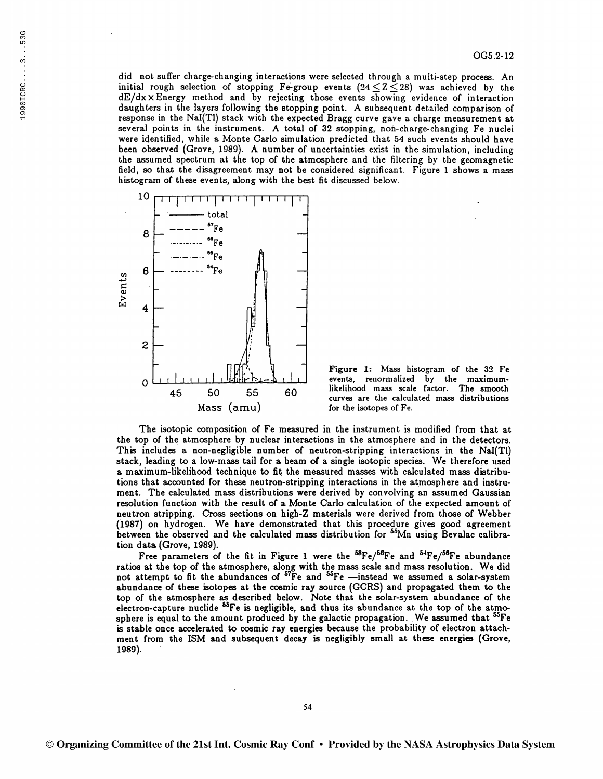did not suffer charge-changing interactions were selected through a multi-step process. An initial rough selection of stopping Fe-group events  $(24 \leq Z \leq 28)$  was achieved by the dE/dx x Energy method and by rejecting those events showing evidence of interaction daughters in the layers following the stopping point. A subsequent detailed comparison of response in the Nal(Tl) stack with the expected Bragg curve gave a charge measurement at several points in the instrument. A total of 32 stopping, non-charge-changing Fe nuclei were identified, while a Monte Carlo simulation predicted that 54 such events should have been observed (Grove, 1989). A number of uncertainties exist in the simulation, including the assumed spectrum at the top of the atmosphere and the filtering by the geomagnetic field, so that the disagreement may not be considered significant. Figure 1 shows a mass histogram of these events, along with the best fit discussed below.



Figure 1: Mass histogram of the 32 Fe events, renormalized by the maximumlikelihood mass scale factor. The smooth curves are the calculated mass distributions for the isotopes of Fe.

The isotopic composition of Fe measured in the instrument is modified from that at the top of the atmosphere by nuclear interactions in the atmosphere and in the detectors. This includes a non-negligible number of neutron-stripping interactions in the NaI(Tl) stack, leading to a low-mass tail for a beam of a single isotopic species. We therefore used a maximum-likelihood technique to fit the measured masses with calculated mass distributions that accounted for these neutron-stripping interactions in the atmosphere and instrument. The calculated mass distributions were derived by convolving an assumed Gaussian resolution function with the result of a Monte Carlo calculation of the expected amount of neutron stripping. Cross sections on high-Z materials were derived from those of Webber (1987) on hydrogen. We have demonstrated that this procedure gives good agreement between the observed and the calculated mass distribution for <sup>55</sup>Mn using Bevalac calibration data (Grove, 1989).

Free parameters of the fit in Figure 1 were the  ${}^{58}Fe/{}^{56}Fe$  and  ${}^{54}Fe/{}^{56}Fe$  abundance ratios at the top of the atmosphere, along with the mass scale and mass resolution. We did not attempt to fit the abundances of  $^{57}$ Fe and  $^{55}$ Fe -instead we assumed a solar-system abundance of these isotopes at the cosmic ray source (GCRS) and propagated them to the top of the atmosphere as described below. Note that the solar-system abundance of the electron-capture nuclide <sup>55</sup>Fe is negligible, and thus its abundance at the top of the atmosphere is equal to the amount produced by the galactic propagation. We assumed that <sup>55</sup>Fe is stable once accelerated to cosmic ray energies because the probability of electron attachment from the ISM and subsequent decay is negligibly small at these energies (Grove, 1989).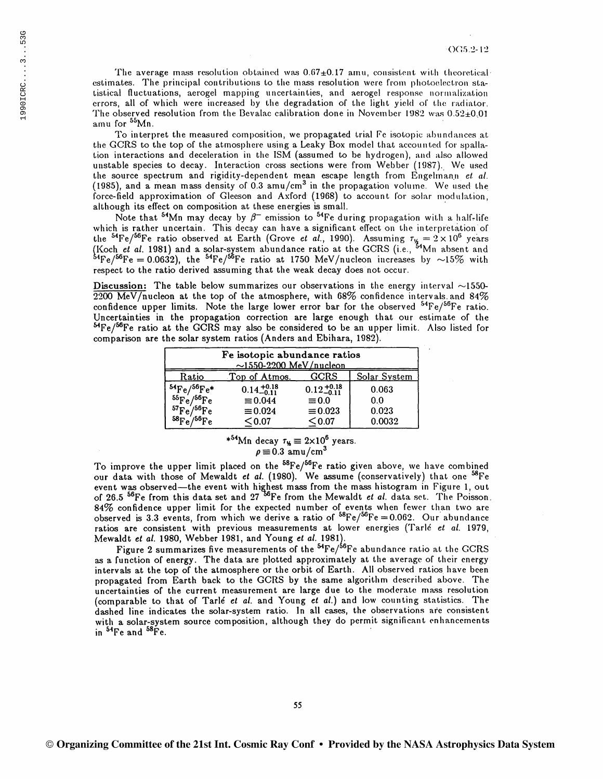The average mass resolution obtained was  $0.67\pm0.17$  amu, consistent with theoretical estimates. The principal contributions to the mass resolution were from photoelectron statistical fluctuations, aerogel mapping uncertainties, and aerogel response normalization errors, all of which were increased by the degradation of the light yield of the radiator. The observed resolution from the Bevalac calibration done in November 1982 was  $0.52\pm0.01$ amu for <sup>55</sup>Mn.

To interpret the measured composition, we propagated trial Fe isotopic abundances at the GCRS to the top of the atmosphere using a Leaky Box model that accounted for spallation interactions and deceleration in the ISM (assumed to be hydrogen), and also allowed unstable species to decay. Interaction cross sections were from Webber (1987). We used the source spectrum and rigidity-dependent mean escape length from Engelmann et al. (1985), and a mean mass density of 0.3 amu/cm<sup>3</sup> in the propagation volume. We used the force-field approximation of Gleeson and Axford  $(1968)$  to account for solar modulation, although its effect on composition at these energies is small.

Note that <sup>54</sup>Mn may decay by  $\beta^-$  emission to <sup>54</sup>Fe during propagation with a half-life which is rather uncertain. This decay can have a significant effect on the interpretation of the <sup>54</sup>Fe/<sup>56</sup>Fe ratio observed at Earth (Grove *et al.*, 1990). Assuming  $\tau_{\nu} = 2 \times 10^6$  years (Koch *et al.* 1981) and a solar-system abundance ratio at the GCRS (i.e., <sup>54</sup>Mn absent and (Koch et al. 1981) and a solar-system abundance ratio at the GCRS (i.e.,  $^{34}$ Mn absent and  $^{54}$ Fe/ $^{56}$ Fe = 0.0632), the  $^{54}$ Fe/ $^{56}$ Fe ratio at 1750 MeV/nucleon increases by  $\sim$ 15% with respect to the ratio derived assuming that the weak decay does not occur.

Discussion: The table below summarizes our observations in the energy interval  $\sim$ 1550- $2200$  MeV/nucleon at the top of the atmosphere, with 68% confidence intervals and 84% confidence upper limits. Note the large lower error bar for the observed  ${}^{54}Fe/{}^{56}Fe$  ratio. Uncertainties in the propagation correction are large enough that our estimate of the  ${}^{54}Fe/{}^{56}Fe$  ratio at the GCRS may also be considered to be an upper limit. Also listed for comparison are the solar system ratios (Anders and Ebihara, 1982).

| Fe isotopic abundance ratios<br>$\sim$ 1550-2200 MeV/nucleon |                        |                        |              |
|--------------------------------------------------------------|------------------------|------------------------|--------------|
| Ratio                                                        | Top of Atmos.          | GCRS                   | Solar System |
| $\frac{{}^{54}\text{Fe}}{{}^{55}\text{Fe}}/{}^{56}\text{Fe}$ | $0.14_{-0.11}^{+0.18}$ | $0.12_{-0.11}^{+0.18}$ | 0.063        |
|                                                              | $\equiv 0.044$         | $\equiv 0.0$           | 0.0          |
| ${}^{57}\text{Fe}/{}^{56}\text{Fe}$                          | $\equiv 0.024$         | $\equiv 0.023$         | 0.023        |
| $^{58}Fe/^{56}Fe$                                            | $<$ 0.07 $\,$          | $<$ 0.07 $\,$          | 0.0032       |

\*<sup>54</sup>Mn decay  $\tau_y \equiv 2 \times 10^6$  years.  $\rho \equiv 0.3$  amu/cm<sup>3</sup>

To improve the upper limit placed on the <sup>58</sup>Fe/<sup>56</sup>Fe ratio given above, we have combined our data with those of Mewaldt *et al.* (1980). We assume (conservatively) that one <sup>58</sup>Fe event was observed-the event with highest mass from the mass histogram in Figure 1, out of 26.5 56Fe from this data set and 27 Fe from the Mewaldt *et al.* data set. The Poisson. 84% confidence upper limit for the expected number of events when fewer than two are observed is 3.3 events, from which we derive a ratio of  $^{58}Fe/^{56}Fe = 0.062$ . Our abundance ratios are consistent with previous measurements at lower energies (Tarlé et al. 1979, Mewaldt *et al.* 1980, Webber 1981, and Young *et al.* 198ll.

Figure 2 summarizes five measurements of the <sup>54</sup>Fe/<sup>56</sup>Fe abundance ratio at the GCRS as a function of energy. The data are plotted approximately at the average of their energy intervals at the top of the atmosphere or the orbit of Earth. All observed ratios have been propagated from Earth back to the GCRS by the same algorithm described above. The uncertainties of the current measurement are large due to the moderate mass resolution (comparable to that of Tarlé et al. and Young et al.) and low counting statistics. The dashed line indicates the solar-system ratio. In all cases, the observations are consistent with a solar-system source composition, although they do permit significant enhancements in  $^{54}$ Fe and  $^{58}$ Fe.